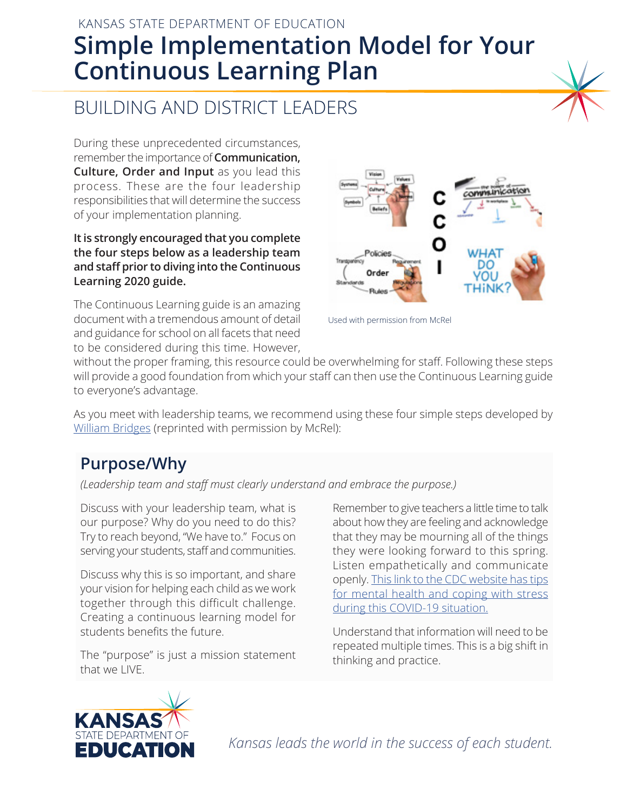# KANSAS STATE DEPARTMENT OF EDUCATION **Simple Implementation Model for Your Continuous Learning Plan**

# BUILDING AND DISTRICT LEADERS

During these unprecedented circumstances, remember the importance of **Communication, Culture, Order and Input** as you lead this process. These are the four leadership responsibilities that will determine the success of your implementation planning.

#### **It is strongly encouraged that you complete the four steps below as a leadership team and staff prior to diving into the Continuous Learning 2020 guide.**

The Continuous Learning guide is an amazing document with a tremendous amount of detail and guidance for school on all facets that need to be considered during this time. However,



Used with permission from McRel

without the proper framing, this resource could be overwhelming for staff. Following these steps will provide a good foundation from which your staff can then use the Continuous Learning guide to everyone's advantage.

As you meet with leadership teams, we recommend using these four simple steps developed by William Bridges (reprinted with permission by McRel):

## **Purpose/Why**

*(Leadership team and staff must clearly understand and embrace the purpose.)*

Discuss with your leadership team, what is our purpose? Why do you need to do this? Try to reach beyond, "We have to." Focus on serving your students, staff and communities.

Discuss why this is so important, and share your vision for helping each child as we work together through this difficult challenge. Creating a continuous learning model for students benefits the future.

The "purpose" is just a mission statement that we LIVE.

Remember to give teachers a little time to talk about how they are feeling and acknowledge that they may be mourning all of the things they were looking forward to this spring. Listen empathetically and communicate openly. This link to the CDC website has tips for mental health and coping with stress during this COVID-19 situation.

Understand that information will need to be repeated multiple times. This is a big shift in thinking and practice.



*Kansas leads the world in the success of each student.*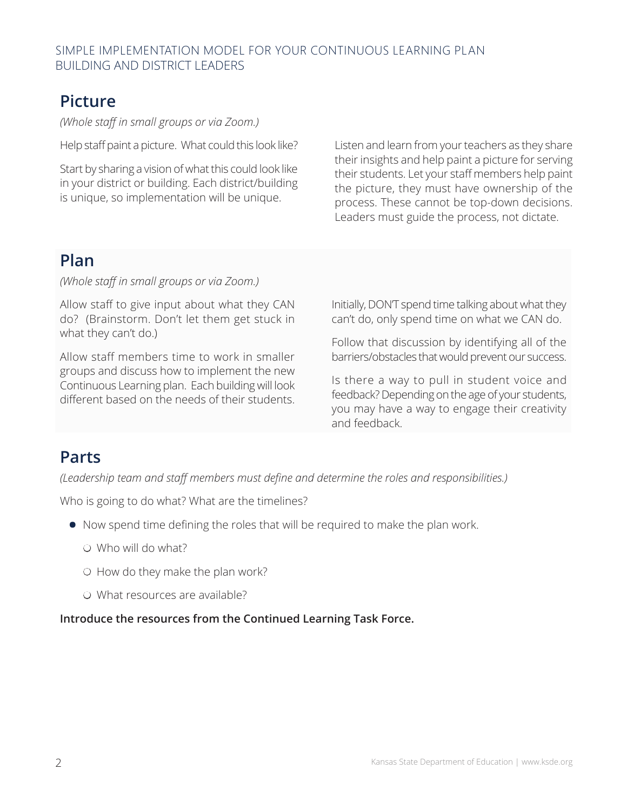## **Picture**

*(Whole staff in small groups or via Zoom.)*

Help staff paint a picture. What could this look like?

Start by sharing a vision of what this could look like in your district or building. Each district/building is unique, so implementation will be unique.

Listen and learn from your teachers as they share their insights and help paint a picture for serving their students. Let your staff members help paint the picture, they must have ownership of the process. These cannot be top-down decisions. Leaders must guide the process, not dictate.

#### **Plan**

*(Whole staff in small groups or via Zoom.)*

Allow staff to give input about what they CAN do? (Brainstorm. Don't let them get stuck in what they can't do.)

Allow staff members time to work in smaller groups and discuss how to implement the new Continuous Learning plan. Each building will look different based on the needs of their students. Initially, DON'T spend time talking about what they can't do, only spend time on what we CAN do.

Follow that discussion by identifying all of the barriers/obstacles that would prevent our success.

Is there a way to pull in student voice and feedback? Depending on the age of your students, you may have a way to engage their creativity and feedback.

### **Parts**

*(Leadership team and staff members must define and determine the roles and responsibilities.)*

Who is going to do what? What are the timelines?

- **•** Now spend time defining the roles that will be required to make the plan work.
	- $\circ$  Who will do what?
	- $\circ$  How do they make the plan work?
	- O What resources are available?

**Introduce the resources from the Continued Learning Task Force.**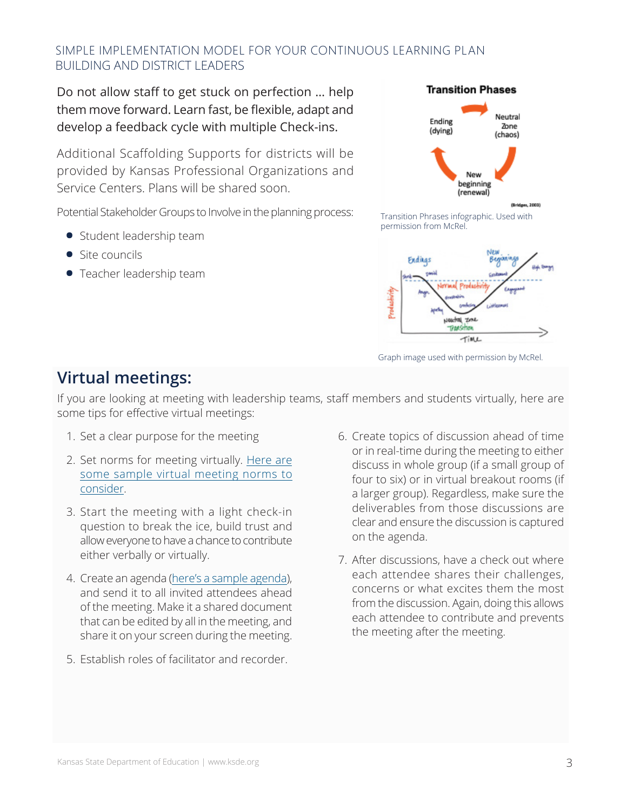#### SIMPLE IMPLEMENTATION MODEL FOR YOUR CONTINUOUS LEARNING PLAN BUILDING AND DISTRICT LEADERS

Do not allow staff to get stuck on perfection … help them move forward. Learn fast, be flexible, adapt and develop a feedback cycle with multiple Check-ins.

Additional Scaffolding Supports for districts will be provided by Kansas Professional Organizations and Service Centers. Plans will be shared soon.

Potential Stakeholder Groups to Involve in the planning process:

- **•** Student leadership team
- **•** Site councils
- **•** Teacher leadership team



Transition Phrases infographic. Used with permission from McRel.



Graph image used with permission by McRel.

### **Virtual meetings:**

If you are looking at meeting with leadership teams, staff members and students virtually, here are some tips for effective virtual meetings:

- 1. Set a clear purpose for the meeting
- 2. [Set norms for meeting virtually. Here are](https://docs.google.com/document/d/1eGVqfbGVSoAG-2jj9fVu4m8JUSpyglw3mCrv1obSstg/edit?usp=sharing) some sample virtual meeting norms to consider.
- 3. Start the meeting with a light check-in question to break the ice, build trust and allow everyone to have a chance to contribute either verbally or virtually.
- 4. Create an agenda [\(here's a sample agenda\)](https://docs.google.com/document/d/1_unG3oAJHPQpBEw0LG0FTINngCyY7ECHHdJB63i5ooQ/edit?usp=sharing), and send it to all invited attendees ahead of the meeting. Make it a shared document that can be edited by all in the meeting, and share it on your screen during the meeting.
- 5. Establish roles of facilitator and recorder.
- 6. Create topics of discussion ahead of time or in real-time during the meeting to either discuss in whole group (if a small group of four to six) or in virtual breakout rooms (if a larger group). Regardless, make sure the deliverables from those discussions are clear and ensure the discussion is captured on the agenda.
- 7. After discussions, have a check out where each attendee shares their challenges, concerns or what excites them the most from the discussion. Again, doing this allows each attendee to contribute and prevents the meeting after the meeting.